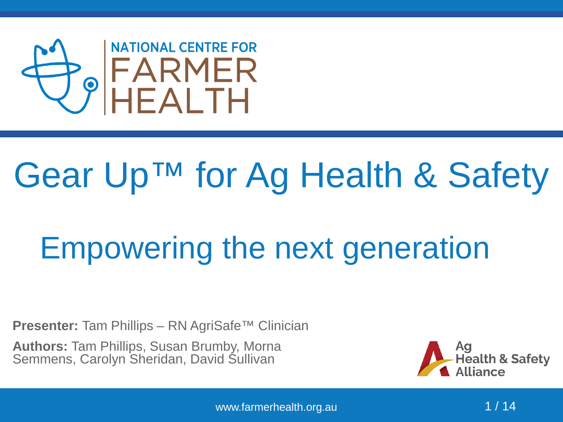

# Gear Up™ for Ag Health & Safety

# Empowering the next generation

**Presenter:** Tam Phillips – RN AgriSafe™ Clinician

**Authors:** Tam Phillips, Susan Brumby, Morna Semmens, Carolyn Sheridan, David Sullivan

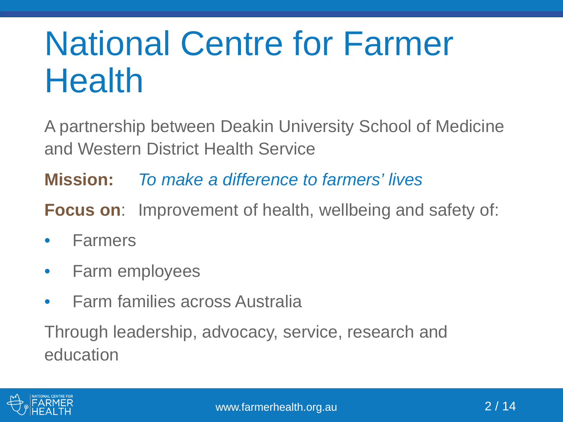# National Centre for Farmer Health

A partnership between Deakin University School of Medicine and Western District Health Service

**Mission:** *To make a difference to farmers' lives*

**Focus on**: Improvement of health, wellbeing and safety of:

- Farmers
- Farm employees
- Farm families across Australia

Through leadership, advocacy, service, research and education

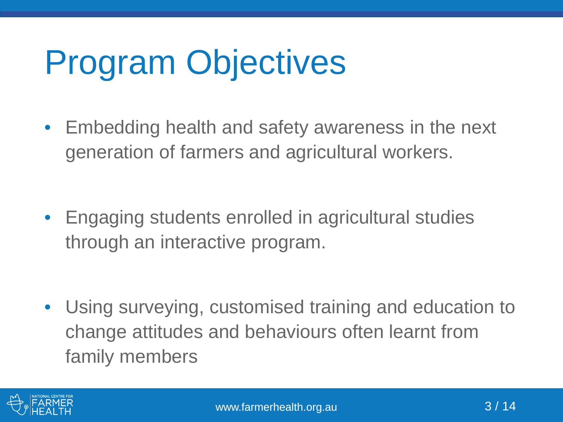# Program Objectives

• Embedding health and safety awareness in the next generation of farmers and agricultural workers.

• Engaging students enrolled in agricultural studies through an interactive program.

• Using surveying, customised training and education to change attitudes and behaviours often learnt from family members

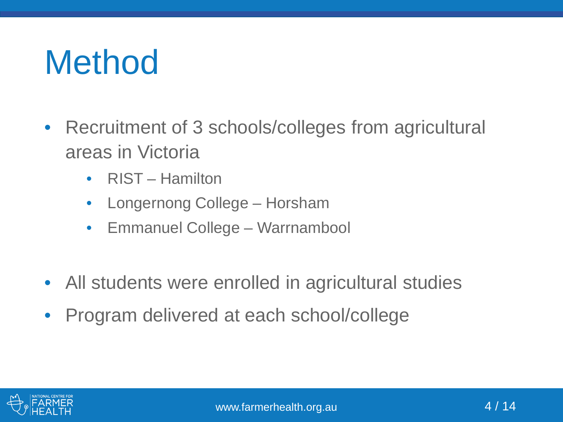### **Method**

- Recruitment of 3 schools/colleges from agricultural areas in Victoria
	- RIST Hamilton
	- Longernong College Horsham
	- Emmanuel College Warrnambool
- All students were enrolled in agricultural studies
- Program delivered at each school/college

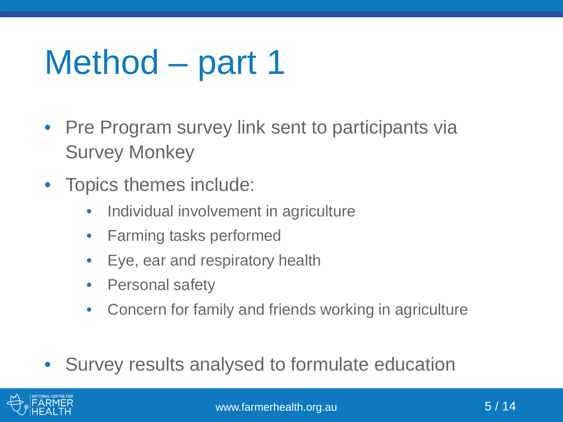# Method – part 1

- Pre Program survey link sent to participants via Survey Monkey
- Topics themes include:
	- Individual involvement in agriculture
	- Farming tasks performed
	- Eye, ear and respiratory health
	- Personal safety
	- Concern for family and friends working in agriculture
- Survey results analysed to formulate education

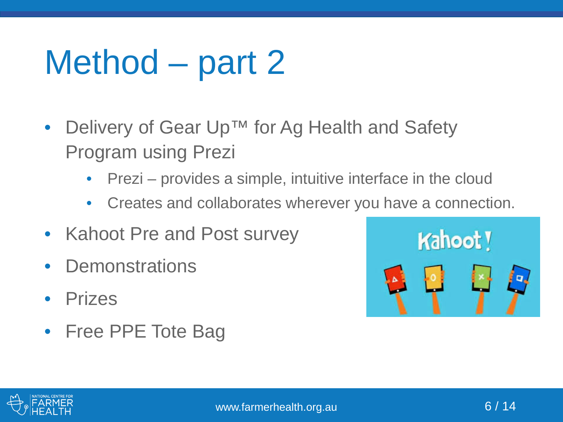# Method – part 2

- Delivery of Gear Up<sup>™</sup> for Ag Health and Safety Program using Prezi
	- Prezi provides a simple, intuitive interface in the cloud
	- Creates and collaborates wherever you have a connection.
- Kahoot Pre and Post survey
- **Demonstrations**
- **Prizes**
- Free PPE Tote Bag



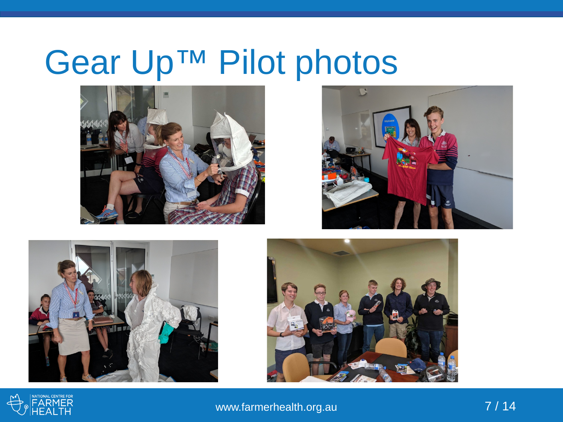### Gear Up™ Pilot photos









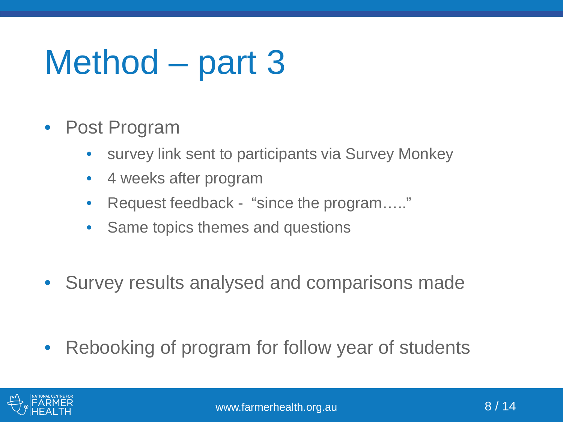# Method – part 3

#### • Post Program

- survey link sent to participants via Survey Monkey
- 4 weeks after program
- Request feedback "since the program....."
- Same topics themes and questions
- Survey results analysed and comparisons made

• Rebooking of program for follow year of students

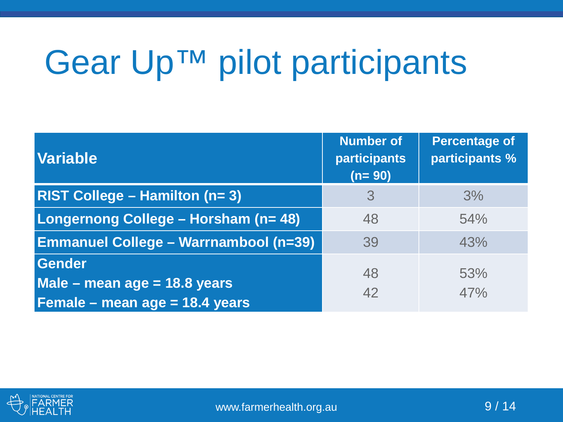# Gear Up™ pilot participants

| Variable                                                                 | <b>Number of</b><br><b>participants</b><br>$(n=90)$ | <b>Percentage of</b><br>participants % |
|--------------------------------------------------------------------------|-----------------------------------------------------|----------------------------------------|
| <b>RIST College - Hamilton (n=3)</b>                                     | 3                                                   | 3%                                     |
| Longernong College – Horsham (n= 48)                                     | 48                                                  | 54%                                    |
| <b>Emmanuel College - Warrnambool (n=39)</b>                             | 39                                                  | 43%                                    |
| Gender<br>Male – mean age = 18.8 years<br>Female – mean age = 18.4 years | 48<br>42                                            | 53%<br>47%                             |

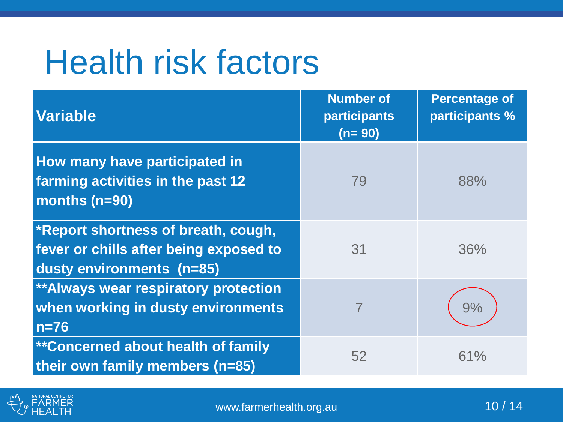## Health risk factors

| <b>Variable</b>                                                                                            | <b>Number of</b><br><b>participants</b><br>$(n=90)$ | <b>Percentage of</b><br>participants % |
|------------------------------------------------------------------------------------------------------------|-----------------------------------------------------|----------------------------------------|
| How many have participated in<br><b>farming activities in the past 12</b><br>months (n=90)                 | 79                                                  | 88%                                    |
| *Report shortness of breath, cough,<br>fever or chills after being exposed to<br>dusty environments (n=85) | 31                                                  | 36%                                    |
| <b>**Always wear respiratory protection</b><br>when working in dusty environments<br>$n=76$                |                                                     | 9%                                     |
| <b>**Concerned about health of family</b><br>their own family members (n=85)                               | 52                                                  | 61%                                    |

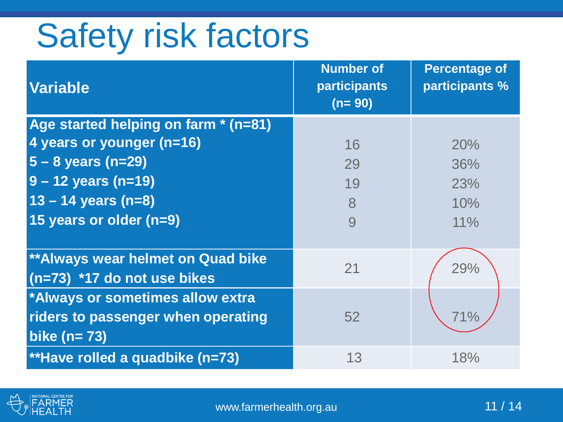# Safety risk factors

| <b>Variable</b>                                                                         | <b>Number of</b><br>participants<br>$(n=90)$ | <b>Percentage of</b><br>participants % |
|-----------------------------------------------------------------------------------------|----------------------------------------------|----------------------------------------|
| Age started helping on farm * (n=81)<br>4 years or younger (n=16)                       |                                              |                                        |
| $5 - 8$ years (n=29)                                                                    | 16<br>29                                     | 20%<br>36%                             |
| $9 - 12$ years (n=19)                                                                   | 19                                           | 23%                                    |
| $\boxed{13 - 14 \text{ years} (n=8)}$                                                   | 8                                            | 10%                                    |
| 15 years or older (n=9)                                                                 | 9                                            | 11%                                    |
| <b>**Always wear helmet on Quad bike</b><br>$(n=73)$ *17 do not use bikes               | 21                                           | 29%                                    |
| *Always or sometimes allow extra<br>riders to passenger when operating<br>bike $(n=73)$ | 52                                           | 71%                                    |
| <b>**Have rolled a quadbike (n=73)</b>                                                  | 13                                           | 18%                                    |

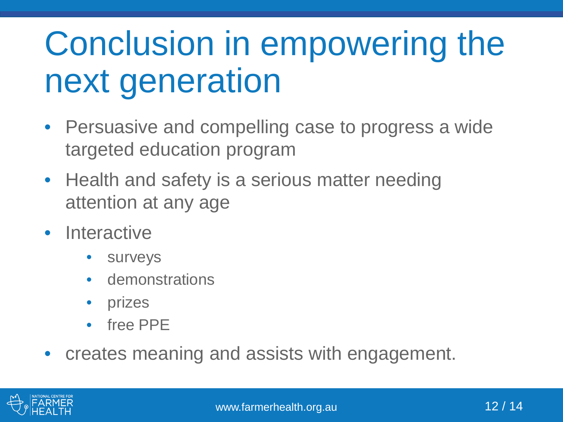# Conclusion in empowering the next generation

- Persuasive and compelling case to progress a wide targeted education program
- Health and safety is a serious matter needing attention at any age
- Interactive
	- **surveys**
	- demonstrations
	- prizes
	- free PPE
- creates meaning and assists with engagement.

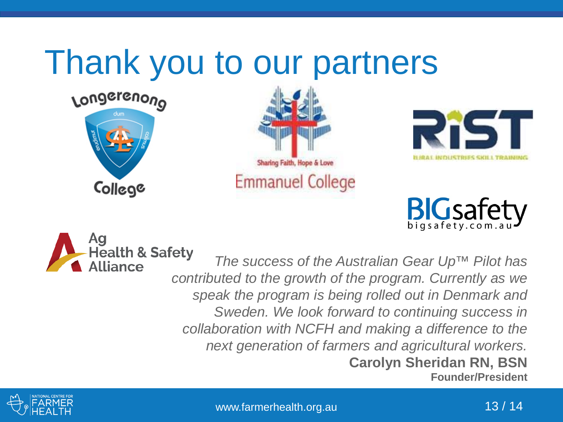### Thank you to our partners











*The success of the Australian Gear Up™ Pilot has*  **Ag**<br> **− Health & Safety**<br> *contributed to the growth of the program. Currently as we contributed to the growth of the program. Currently as we speak the program is being rolled out in Denmark and Sweden. We look forward to continuing success in collaboration with NCFH and making a difference to the next generation of farmers and agricultural workers.* **Carolyn Sheridan RN, BSN Founder/President**